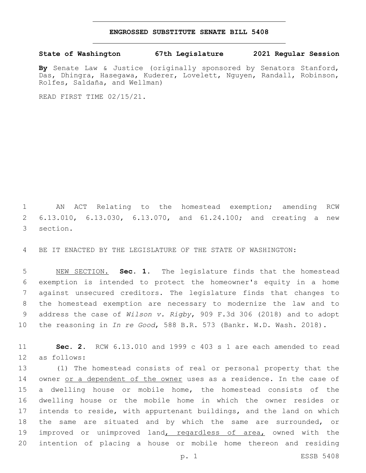## **ENGROSSED SUBSTITUTE SENATE BILL 5408**

## **State of Washington 67th Legislature 2021 Regular Session**

**By** Senate Law & Justice (originally sponsored by Senators Stanford, Das, Dhingra, Hasegawa, Kuderer, Lovelett, Nguyen, Randall, Robinson, Rolfes, Saldaña, and Wellman)

READ FIRST TIME 02/15/21.

 AN ACT Relating to the homestead exemption; amending RCW 6.13.010, 6.13.030, 6.13.070, and 61.24.100; and creating a new 3 section.

BE IT ENACTED BY THE LEGISLATURE OF THE STATE OF WASHINGTON:

 NEW SECTION. **Sec. 1.** The legislature finds that the homestead exemption is intended to protect the homeowner's equity in a home against unsecured creditors. The legislature finds that changes to the homestead exemption are necessary to modernize the law and to address the case of *Wilson v. Rigby*, 909 F.3d 306 (2018) and to adopt the reasoning in *In re Good*, 588 B.R. 573 (Bankr. W.D. Wash. 2018).

 **Sec. 2.** RCW 6.13.010 and 1999 c 403 s 1 are each amended to read 12 as follows:

 (1) The homestead consists of real or personal property that the owner or a dependent of the owner uses as a residence. In the case of a dwelling house or mobile home, the homestead consists of the dwelling house or the mobile home in which the owner resides or intends to reside, with appurtenant buildings, and the land on which the same are situated and by which the same are surrounded, or 19 improved or unimproved land, regardless of area, owned with the intention of placing a house or mobile home thereon and residing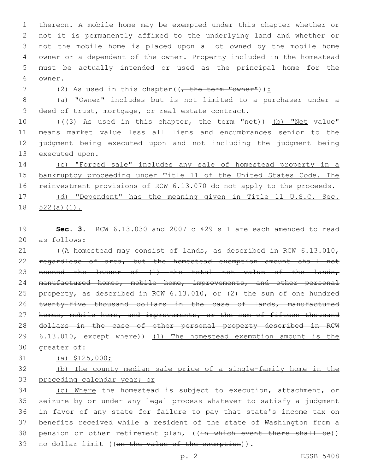thereon. A mobile home may be exempted under this chapter whether or not it is permanently affixed to the underlying land and whether or not the mobile home is placed upon a lot owned by the mobile home 4 owner or a dependent of the owner. Property included in the homestead must be actually intended or used as the principal home for the 6 owner.

7 (2) As used in this chapter( $(-$  the term "owner")):

8 (a) "Owner" includes but is not limited to a purchaser under a 9 deed of trust, mortgage, or real estate contract.

10 (((3) As used in this chapter, the term "net)) (b) "Net value" 11 means market value less all liens and encumbrances senior to the 12 judgment being executed upon and not including the judgment being 13 executed upon.

14 (c) "Forced sale" includes any sale of homestead property in a 15 bankruptcy proceeding under Title 11 of the United States Code. The 16 reinvestment provisions of RCW 6.13.070 do not apply to the proceeds. 17 (d) "Dependent" has the meaning given in Title 11 U.S.C. Sec. 18 522(a)(1).

19 **Sec. 3.** RCW 6.13.030 and 2007 c 429 s 1 are each amended to read as follows:20

21 ((A homestead may consist of lands, as described in RCW 6.13.010, 22 regardless of area, but the homestead exemption amount shall not 23 exceed the lesser of (1) the total net value of the lands, 24 manufactured homes, mobile home, improvements, and other personal 25 property, as described in RCW 6.13.010, or (2) the sum of one hundred 26 twenty-five thousand dollars in the case of lands, manufactured 27 homes, mobile home, and improvements, or the sum of fifteen thousand 28 dollars in the case of other personal property described in RCW 29 6.13.010, except where)) (1) The homestead exemption amount is the 30 greater of:

## 31 (a) \$125,000;

32 (b) The county median sale price of a single-family home in the 33 preceding calendar year; or

 (c) Where the homestead is subject to execution, attachment, or seizure by or under any legal process whatever to satisfy a judgment in favor of any state for failure to pay that state's income tax on benefits received while a resident of the state of Washington from a 38 pension or other retirement plan, ((in which event there shall be)) 39 no dollar limit ((on the value of the exemption)).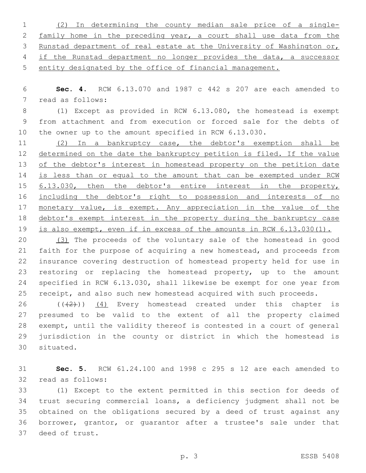(2) In determining the county median sale price of a single- family home in the preceding year, a court shall use data from the Runstad department of real estate at the University of Washington or, if the Runstad department no longer provides the data, a successor entity designated by the office of financial management.

 **Sec. 4.** RCW 6.13.070 and 1987 c 442 s 207 are each amended to 7 read as follows:

 (1) Except as provided in RCW 6.13.080, the homestead is exempt from attachment and from execution or forced sale for the debts of the owner up to the amount specified in RCW 6.13.030.

 (2) In a bankruptcy case, the debtor's exemption shall be determined on the date the bankruptcy petition is filed. If the value 13 of the debtor's interest in homestead property on the petition date 14 is less than or equal to the amount that can be exempted under RCW 15 6.13.030, then the debtor's entire interest in the property, 16 including the debtor's right to possession and interests of no 17 monetary value, is exempt. Any appreciation in the value of the debtor's exempt interest in the property during the bankruptcy case is also exempt, even if in excess of the amounts in RCW 6.13.030(1).

 (3) The proceeds of the voluntary sale of the homestead in good faith for the purpose of acquiring a new homestead, and proceeds from insurance covering destruction of homestead property held for use in restoring or replacing the homestead property, up to the amount specified in RCW 6.13.030, shall likewise be exempt for one year from 25 receipt, and also such new homestead acquired with such proceeds.

 $((+2+))$   $(4)$  Every homestead created under this chapter is presumed to be valid to the extent of all the property claimed exempt, until the validity thereof is contested in a court of general jurisdiction in the county or district in which the homestead is 30 situated.

 **Sec. 5.** RCW 61.24.100 and 1998 c 295 s 12 are each amended to 32 read as follows:

 (1) Except to the extent permitted in this section for deeds of trust securing commercial loans, a deficiency judgment shall not be obtained on the obligations secured by a deed of trust against any borrower, grantor, or guarantor after a trustee's sale under that 37 deed of trust.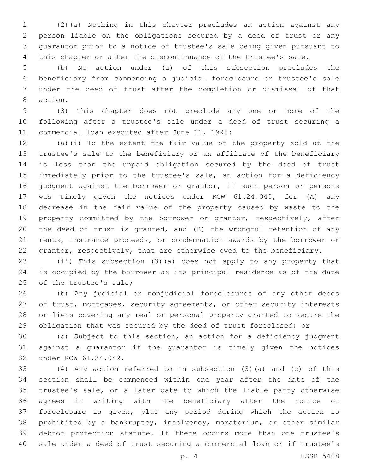(2)(a) Nothing in this chapter precludes an action against any person liable on the obligations secured by a deed of trust or any guarantor prior to a notice of trustee's sale being given pursuant to this chapter or after the discontinuance of the trustee's sale.

 (b) No action under (a) of this subsection precludes the beneficiary from commencing a judicial foreclosure or trustee's sale under the deed of trust after the completion or dismissal of that 8 action.

 (3) This chapter does not preclude any one or more of the following after a trustee's sale under a deed of trust securing a 11 commercial loan executed after June 11, 1998:

 (a)(i) To the extent the fair value of the property sold at the trustee's sale to the beneficiary or an affiliate of the beneficiary is less than the unpaid obligation secured by the deed of trust immediately prior to the trustee's sale, an action for a deficiency judgment against the borrower or grantor, if such person or persons was timely given the notices under RCW 61.24.040, for (A) any decrease in the fair value of the property caused by waste to the 19 property committed by the borrower or grantor, respectively, after the deed of trust is granted, and (B) the wrongful retention of any rents, insurance proceeds, or condemnation awards by the borrower or grantor, respectively, that are otherwise owed to the beneficiary.

 (ii) This subsection (3)(a) does not apply to any property that is occupied by the borrower as its principal residence as of the date 25 of the trustee's sale;

 (b) Any judicial or nonjudicial foreclosures of any other deeds 27 of trust, mortgages, security agreements, or other security interests or liens covering any real or personal property granted to secure the obligation that was secured by the deed of trust foreclosed; or

 (c) Subject to this section, an action for a deficiency judgment against a guarantor if the guarantor is timely given the notices 32 under RCW 61.24.042.

 (4) Any action referred to in subsection (3)(a) and (c) of this section shall be commenced within one year after the date of the trustee's sale, or a later date to which the liable party otherwise agrees in writing with the beneficiary after the notice of foreclosure is given, plus any period during which the action is prohibited by a bankruptcy, insolvency, moratorium, or other similar debtor protection statute. If there occurs more than one trustee's sale under a deed of trust securing a commercial loan or if trustee's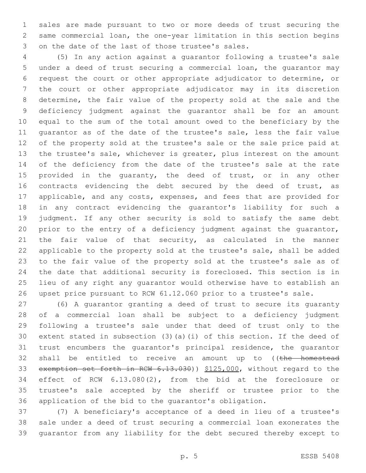sales are made pursuant to two or more deeds of trust securing the same commercial loan, the one-year limitation in this section begins 3 on the date of the last of those trustee's sales.

 (5) In any action against a guarantor following a trustee's sale under a deed of trust securing a commercial loan, the guarantor may request the court or other appropriate adjudicator to determine, or the court or other appropriate adjudicator may in its discretion determine, the fair value of the property sold at the sale and the deficiency judgment against the guarantor shall be for an amount equal to the sum of the total amount owed to the beneficiary by the guarantor as of the date of the trustee's sale, less the fair value of the property sold at the trustee's sale or the sale price paid at the trustee's sale, whichever is greater, plus interest on the amount of the deficiency from the date of the trustee's sale at the rate 15 provided in the quaranty, the deed of trust, or in any other 16 contracts evidencing the debt secured by the deed of trust, as applicable, and any costs, expenses, and fees that are provided for in any contract evidencing the guarantor's liability for such a judgment. If any other security is sold to satisfy the same debt prior to the entry of a deficiency judgment against the guarantor, the fair value of that security, as calculated in the manner applicable to the property sold at the trustee's sale, shall be added to the fair value of the property sold at the trustee's sale as of the date that additional security is foreclosed. This section is in lieu of any right any guarantor would otherwise have to establish an upset price pursuant to RCW 61.12.060 prior to a trustee's sale.

 (6) A guarantor granting a deed of trust to secure its guaranty of a commercial loan shall be subject to a deficiency judgment following a trustee's sale under that deed of trust only to the extent stated in subsection (3)(a)(i) of this section. If the deed of trust encumbers the guarantor's principal residence, the guarantor 32 shall be entitled to receive an amount up to ((the homestead 33 exemption set forth in RCW 6.13.030)) \$125,000, without regard to the effect of RCW 6.13.080(2), from the bid at the foreclosure or trustee's sale accepted by the sheriff or trustee prior to the application of the bid to the guarantor's obligation.

 (7) A beneficiary's acceptance of a deed in lieu of a trustee's sale under a deed of trust securing a commercial loan exonerates the guarantor from any liability for the debt secured thereby except to